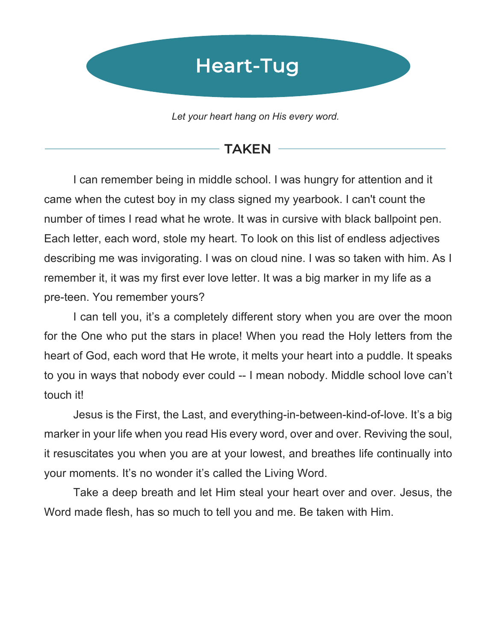# Heart-Tug

*Let your heart hang on His every word.* 

#### **TAKEN**

I can remember being in middle school. I was hungry for attention and it came when the cutest boy in my class signed my yearbook. I can't count the number of times I read what he wrote. It was in cursive with black ballpoint pen. Each letter, each word, stole my heart. To look on this list of endless adjectives describing me was invigorating. I was on cloud nine. I was so taken with him. As I remember it, it was my first ever love letter. It was a big marker in my life as a pre-teen. You remember yours?

I can tell you, it's a completely different story when you are over the moon for the One who put the stars in place! When you read the Holy letters from the heart of God, each word that He wrote, it melts your heart into a puddle. It speaks to you in ways that nobody ever could -- I mean nobody. Middle school love can't touch it!

Jesus is the First, the Last, and everything-in-between-kind-of-love. It's a big marker in your life when you read His every word, over and over. Reviving the soul, it resuscitates you when you are at your lowest, and breathes life continually into your moments. It's no wonder it's called the Living Word.

Take a deep breath and let Him steal your heart over and over. Jesus, the Word made flesh, has so much to tell you and me. Be taken with Him.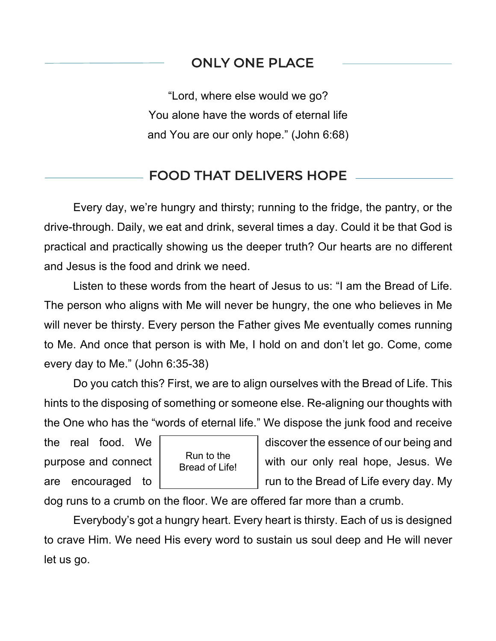#### ONLY ONE PLACE

"Lord, where else would we go? You alone have the words of eternal life and You are our only hope." (John 6:68)

#### FOOD THAT DELIVERS HOPE

Every day, we're hungry and thirsty; running to the fridge, the pantry, or the drive-through. Daily, we eat and drink, several times a day. Could it be that God is practical and practically showing us the deeper truth? Our hearts are no different and Jesus is the food and drink we need.

Listen to these words from the heart of Jesus to us: "I am the Bread of Life. The person who aligns with Me will never be hungry, the one who believes in Me will never be thirsty. Every person the Father gives Me eventually comes running to Me. And once that person is with Me, I hold on and don't let go. Come, come every day to Me." (John 6:35-38)

Do you catch this? First, we are to align ourselves with the Bread of Life. This hints to the disposing of something or someone else. Re-aligning our thoughts with the One who has the "words of eternal life." We dispose the junk food and receive

 $\overline{a}$ 



the real food. We  $\vert$  discover the essence of our being and purpose and connect  $\begin{bmatrix} 1 & 1 \end{bmatrix}$  with our only real hope, Jesus. We are encouraged to  $\vert$  run to the Bread of Life every day. My

dog runs to a crumb on the floor. We are offered far more than a crumb.

Everybody's got a hungry heart. Every heart is thirsty. Each of us is designed to crave Him. We need His every word to sustain us soul deep and He will never let us go.